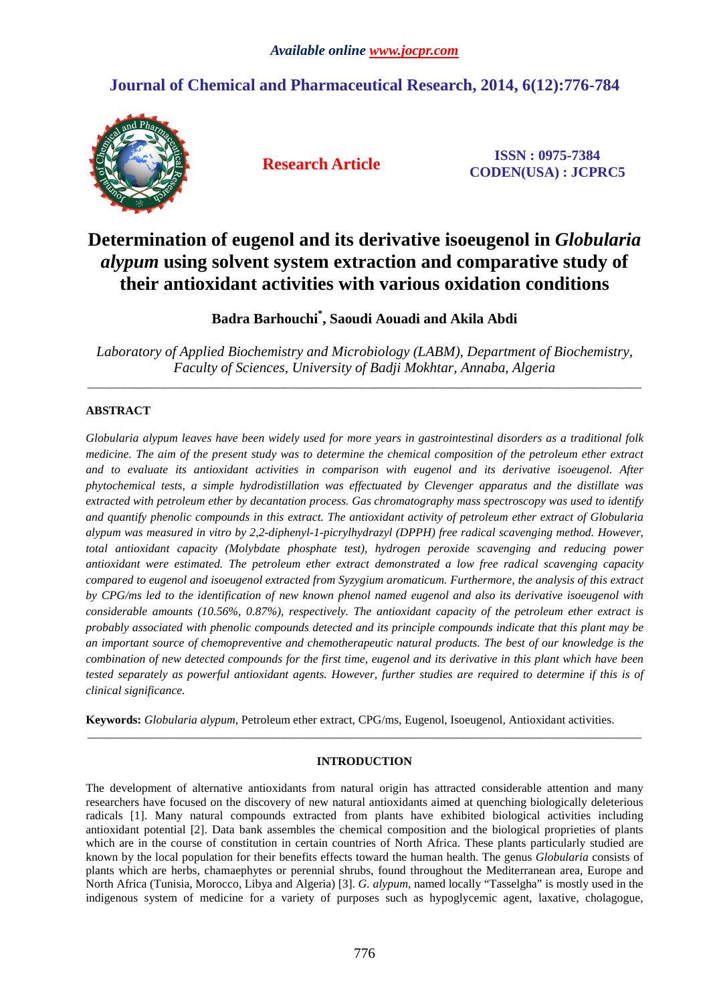# **Journal of Chemical and Pharmaceutical Research, 2014, 6(12):776-784**



**Research Article ISSN : 0975-7384 CODEN(USA) : JCPRC5**

# **Determination of eugenol and its derivative isoeugenol in** *Globularia alypum* **using solvent system extraction and comparative study of their antioxidant activities with various oxidation conditions**

**Badra Barhouchi\* , Saoudi Aouadi and Akila Abdi**

*Laboratory of Applied Biochemistry and Microbiology (LABM), Department of Biochemistry, Faculty of Sciences, University of Badji Mokhtar, Annaba, Algeria* 

\_\_\_\_\_\_\_\_\_\_\_\_\_\_\_\_\_\_\_\_\_\_\_\_\_\_\_\_\_\_\_\_\_\_\_\_\_\_\_\_\_\_\_\_\_\_\_\_\_\_\_\_\_\_\_\_\_\_\_\_\_\_\_\_\_\_\_\_\_\_\_\_\_\_\_\_\_\_\_\_\_\_\_\_\_\_\_\_\_\_\_\_\_

# **ABSTRACT**

*Globularia alypum leaves have been widely used for more years in gastrointestinal disorders as a traditional folk medicine. The aim of the present study was to determine the chemical composition of the petroleum ether extract and to evaluate its antioxidant activities in comparison with eugenol and its derivative isoeugenol. After phytochemical tests, a simple hydrodistillation was effectuated by Clevenger apparatus and the distillate was extracted with petroleum ether by decantation process. Gas chromatography mass spectroscopy was used to identify and quantify phenolic compounds in this extract. The antioxidant activity of petroleum ether extract of Globularia alypum was measured in vitro by 2,2-diphenyl-1-picrylhydrazyl (DPPH) free radical scavenging method. However, total antioxidant capacity (Molybdate phosphate test), hydrogen peroxide scavenging and reducing power antioxidant were estimated. The petroleum ether extract demonstrated a low free radical scavenging capacity compared to eugenol and isoeugenol extracted from Syzygium aromaticum. Furthermore, the analysis of this extract by CPG/ms led to the identification of new known phenol named eugenol and also its derivative isoeugenol with considerable amounts (10.56%, 0.87%), respectively. The antioxidant capacity of the petroleum ether extract is probably associated with phenolic compounds detected and its principle compounds indicate that this plant may be an important source of chemopreventive and chemotherapeutic natural products. The best of our knowledge is the combination of new detected compounds for the first time, eugenol and its derivative in this plant which have been tested separately as powerful antioxidant agents. However, further studies are required to determine if this is of clinical significance.* 

**Keywords:** *Globularia alypum*, Petroleum ether extract, CPG/ms, Eugenol, Isoeugenol, Antioxidant activities.

## **INTRODUCTION**

\_\_\_\_\_\_\_\_\_\_\_\_\_\_\_\_\_\_\_\_\_\_\_\_\_\_\_\_\_\_\_\_\_\_\_\_\_\_\_\_\_\_\_\_\_\_\_\_\_\_\_\_\_\_\_\_\_\_\_\_\_\_\_\_\_\_\_\_\_\_\_\_\_\_\_\_\_\_\_\_\_\_\_\_\_\_\_\_\_\_\_\_\_

The development of alternative antioxidants from natural origin has attracted considerable attention and many researchers have focused on the discovery of new natural antioxidants aimed at quenching biologically deleterious radicals [1]. Many natural compounds extracted from plants have exhibited biological activities including antioxidant potential [2]. Data bank assembles the chemical composition and the biological proprieties of plants which are in the course of constitution in certain countries of North Africa. These plants particularly studied are known by the local population for their benefits effects toward the human health. The genus *Globularia* consists of plants which are herbs, chamaephytes or perennial shrubs, found throughout the Mediterranean area, Europe and North Africa (Tunisia, Morocco, Libya and Algeria) [3]. *G. alypum*, named locally "Tasselgha" is mostly used in the indigenous system of medicine for a variety of purposes such as hypoglycemic agent, laxative, cholagogue,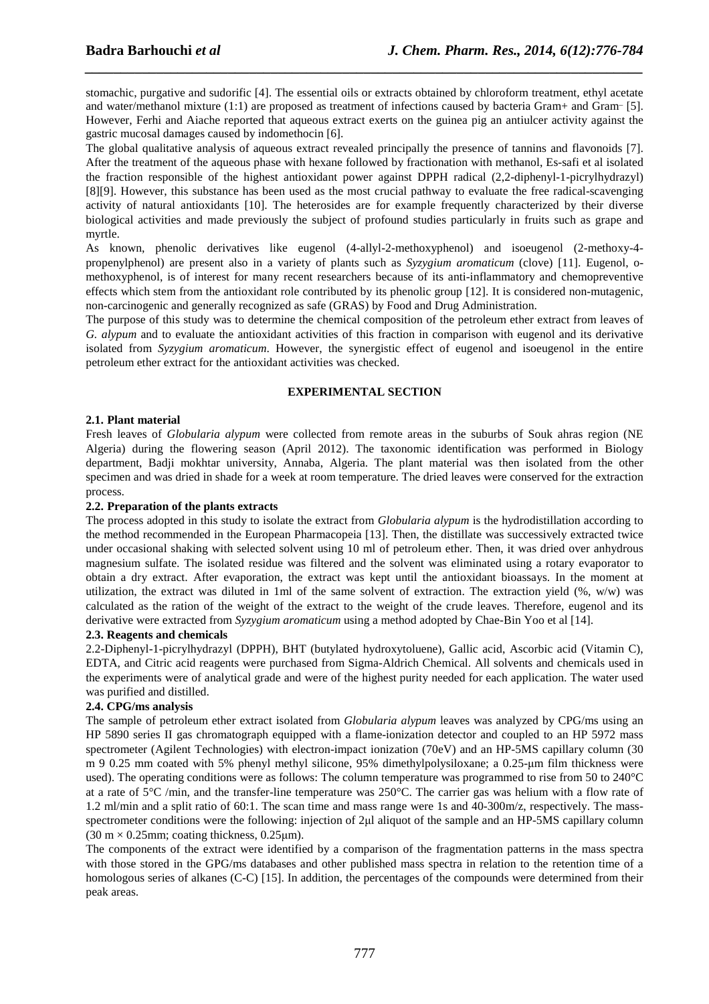stomachic, purgative and sudorific [4]. The essential oils or extracts obtained by chloroform treatment, ethyl acetate and water/methanol mixture (1:1) are proposed as treatment of infections caused by bacteria Gram+ and Gram-[5]. However, Ferhi and Aiache reported that aqueous extract exerts on the guinea pig an antiulcer activity against the gastric mucosal damages caused by indomethocin [6].

*\_\_\_\_\_\_\_\_\_\_\_\_\_\_\_\_\_\_\_\_\_\_\_\_\_\_\_\_\_\_\_\_\_\_\_\_\_\_\_\_\_\_\_\_\_\_\_\_\_\_\_\_\_\_\_\_\_\_\_\_\_\_\_\_\_\_\_\_\_\_\_\_\_\_\_\_\_\_*

The global qualitative analysis of aqueous extract revealed principally the presence of tannins and flavonoids [7]. After the treatment of the aqueous phase with hexane followed by fractionation with methanol, Es-safi et al isolated the fraction responsible of the highest antioxidant power against DPPH radical (2,2-diphenyl-1-picrylhydrazyl) [8][9]. However, this substance has been used as the most crucial pathway to evaluate the free radical-scavenging activity of natural antioxidants [10]. The heterosides are for example frequently characterized by their diverse biological activities and made previously the subject of profound studies particularly in fruits such as grape and myrtle.

As known, phenolic derivatives like eugenol (4-allyl-2-methoxyphenol) and isoeugenol (2-methoxy-4 propenylphenol) are present also in a variety of plants such as *Syzygium aromaticum* (clove) [11]. Eugenol, omethoxyphenol, is of interest for many recent researchers because of its anti-inflammatory and chemopreventive effects which stem from the antioxidant role contributed by its phenolic group [12]. It is considered non-mutagenic, non-carcinogenic and generally recognized as safe (GRAS) by Food and Drug Administration.

The purpose of this study was to determine the chemical composition of the petroleum ether extract from leaves of *G. alypum* and to evaluate the antioxidant activities of this fraction in comparison with eugenol and its derivative isolated from *Syzygium aromaticum*. However, the synergistic effect of eugenol and isoeugenol in the entire petroleum ether extract for the antioxidant activities was checked.

#### **EXPERIMENTAL SECTION**

### **2.1. Plant material**

Fresh leaves of *Globularia alypum* were collected from remote areas in the suburbs of Souk ahras region (NE Algeria) during the flowering season (April 2012). The taxonomic identification was performed in Biology department, Badji mokhtar university, Annaba, Algeria. The plant material was then isolated from the other specimen and was dried in shade for a week at room temperature. The dried leaves were conserved for the extraction process.

#### **2.2. Preparation of the plants extracts**

The process adopted in this study to isolate the extract from *Globularia alypum* is the hydrodistillation according to the method recommended in the European Pharmacopeia [13]. Then, the distillate was successively extracted twice under occasional shaking with selected solvent using 10 ml of petroleum ether. Then, it was dried over anhydrous magnesium sulfate. The isolated residue was filtered and the solvent was eliminated using a rotary evaporator to obtain a dry extract. After evaporation, the extract was kept until the antioxidant bioassays. In the moment at utilization, the extract was diluted in 1ml of the same solvent of extraction. The extraction yield (%, w/w) was calculated as the ration of the weight of the extract to the weight of the crude leaves. Therefore, eugenol and its derivative were extracted from *Syzygium aromaticum* using a method adopted by Chae-Bin Yoo et al [14].

#### **2.3. Reagents and chemicals**

2.2-Diphenyl-1-picrylhydrazyl (DPPH), BHT (butylated hydroxytoluene), Gallic acid, Ascorbic acid (Vitamin C), EDTA, and Citric acid reagents were purchased from Sigma-Aldrich Chemical. All solvents and chemicals used in the experiments were of analytical grade and were of the highest purity needed for each application. The water used was purified and distilled.

#### **2.4. CPG/ms analysis**

The sample of petroleum ether extract isolated from *Globularia alypum* leaves was analyzed by CPG/ms using an HP 5890 series II gas chromatograph equipped with a flame-ionization detector and coupled to an HP 5972 mass spectrometer (Agilent Technologies) with electron-impact ionization (70eV) and an HP-5MS capillary column (30 m 9 0.25 mm coated with 5% phenyl methyl silicone, 95% dimethylpolysiloxane; a 0.25-µm film thickness were used). The operating conditions were as follows: The column temperature was programmed to rise from 50 to 240°C at a rate of 5°C /min, and the transfer-line temperature was 250°C. The carrier gas was helium with a flow rate of 1.2 ml/min and a split ratio of 60:1. The scan time and mass range were 1s and 40-300m/z, respectively. The massspectrometer conditions were the following: injection of 2µl aliquot of the sample and an HP-5MS capillary column  $(30 \text{ m} \times 0.25 \text{ mm})$ ; coating thickness, 0.25 $\mu$ m).

The components of the extract were identified by a comparison of the fragmentation patterns in the mass spectra with those stored in the GPG/ms databases and other published mass spectra in relation to the retention time of a homologous series of alkanes (C-C) [15]. In addition, the percentages of the compounds were determined from their peak areas.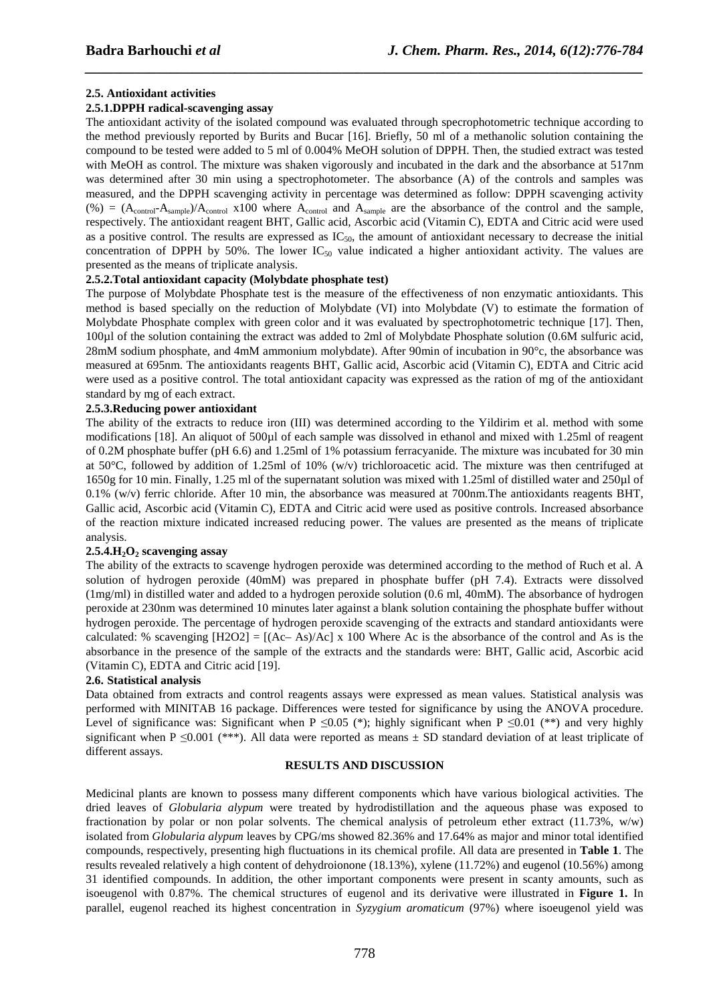#### **2.5. Antioxidant activities**

#### **2.5.1.DPPH radical-scavenging assay**

The antioxidant activity of the isolated compound was evaluated through specrophotometric technique according to the method previously reported by Burits and Bucar [16]. Briefly, 50 ml of a methanolic solution containing the compound to be tested were added to 5 ml of 0.004% MeOH solution of DPPH. Then, the studied extract was tested with MeOH as control. The mixture was shaken vigorously and incubated in the dark and the absorbance at 517nm was determined after 30 min using a spectrophotometer. The absorbance (A) of the controls and samples was measured, and the DPPH scavenging activity in percentage was determined as follow: DPPH scavenging activity (%) =  $(A_{control} - A_{sample})/A_{control}$  x100 where  $A_{control}$  and  $A_{sample}$  are the absorbance of the control and the sample, respectively. The antioxidant reagent BHT, Gallic acid, Ascorbic acid (Vitamin C), EDTA and Citric acid were used as a positive control. The results are expressed as  $IC_{50}$ , the amount of antioxidant necessary to decrease the initial concentration of DPPH by 50%. The lower  $IC_{50}$  value indicated a higher antioxidant activity. The values are presented as the means of triplicate analysis.

*\_\_\_\_\_\_\_\_\_\_\_\_\_\_\_\_\_\_\_\_\_\_\_\_\_\_\_\_\_\_\_\_\_\_\_\_\_\_\_\_\_\_\_\_\_\_\_\_\_\_\_\_\_\_\_\_\_\_\_\_\_\_\_\_\_\_\_\_\_\_\_\_\_\_\_\_\_\_*

#### **2.5.2.Total antioxidant capacity (Molybdate phosphate test)**

The purpose of Molybdate Phosphate test is the measure of the effectiveness of non enzymatic antioxidants. This method is based specially on the reduction of Molybdate (VI) into Molybdate (V) to estimate the formation of Molybdate Phosphate complex with green color and it was evaluated by spectrophotometric technique [17]. Then, 100µl of the solution containing the extract was added to 2ml of Molybdate Phosphate solution (0.6M sulfuric acid, 28mM sodium phosphate, and 4mM ammonium molybdate). After 90min of incubation in 90°c, the absorbance was measured at 695nm. The antioxidants reagents BHT, Gallic acid, Ascorbic acid (Vitamin C), EDTA and Citric acid were used as a positive control. The total antioxidant capacity was expressed as the ration of mg of the antioxidant standard by mg of each extract.

#### **2.5.3.Reducing power antioxidant**

The ability of the extracts to reduce iron (III) was determined according to the Yildirim et al. method with some modifications [18]. An aliquot of 500µl of each sample was dissolved in ethanol and mixed with 1.25ml of reagent of 0.2M phosphate buffer (pH 6.6) and 1.25ml of 1% potassium ferracyanide. The mixture was incubated for 30 min at 50°C, followed by addition of 1.25ml of 10% (w/v) trichloroacetic acid. The mixture was then centrifuged at 1650g for 10 min. Finally, 1.25 ml of the supernatant solution was mixed with 1.25ml of distilled water and 250µl of 0.1% (w/v) ferric chloride. After 10 min, the absorbance was measured at 700nm.The antioxidants reagents BHT, Gallic acid, Ascorbic acid (Vitamin C), EDTA and Citric acid were used as positive controls. Increased absorbance of the reaction mixture indicated increased reducing power. The values are presented as the means of triplicate analysis.

#### **2.5.4.H2O2 scavenging assay**

The ability of the extracts to scavenge hydrogen peroxide was determined according to the method of Ruch et al. A solution of hydrogen peroxide (40mM) was prepared in phosphate buffer (pH 7.4). Extracts were dissolved (1mg/ml) in distilled water and added to a hydrogen peroxide solution (0.6 ml, 40mM). The absorbance of hydrogen peroxide at 230nm was determined 10 minutes later against a blank solution containing the phosphate buffer without hydrogen peroxide. The percentage of hydrogen peroxide scavenging of the extracts and standard antioxidants were calculated: % scavenging  $[H2O2] = [(Ac-As)/Ac] \times 100$  Where Ac is the absorbance of the control and As is the absorbance in the presence of the sample of the extracts and the standards were: BHT, Gallic acid, Ascorbic acid (Vitamin C), EDTA and Citric acid [19].

#### **2.6. Statistical analysis**

Data obtained from extracts and control reagents assays were expressed as mean values. Statistical analysis was performed with MINITAB 16 package. Differences were tested for significance by using the ANOVA procedure. Level of significance was: Significant when P ≤0.05 (\*); highly significant when P ≤0.01 (\*\*) and very highly significant when P  $\leq 0.001$  (\*\*\*). All data were reported as means  $\pm$  SD standard deviation of at least triplicate of different assays.

#### **RESULTS AND DISCUSSION**

Medicinal plants are known to possess many different components which have various biological activities. The dried leaves of *Globularia alypum* were treated by hydrodistillation and the aqueous phase was exposed to fractionation by polar or non polar solvents. The chemical analysis of petroleum ether extract (11.73%, w/w) isolated from *Globularia alypum* leaves by CPG/ms showed 82.36% and 17.64% as major and minor total identified compounds, respectively, presenting high fluctuations in its chemical profile. All data are presented in **Table 1**. The results revealed relatively a high content of dehydroionone (18.13%), xylene (11.72%) and eugenol (10.56%) among 31 identified compounds. In addition, the other important components were present in scanty amounts, such as isoeugenol with 0.87%. The chemical structures of eugenol and its derivative were illustrated in **Figure 1.** In parallel, eugenol reached its highest concentration in *Syzygium aromaticum* (97%) where isoeugenol yield was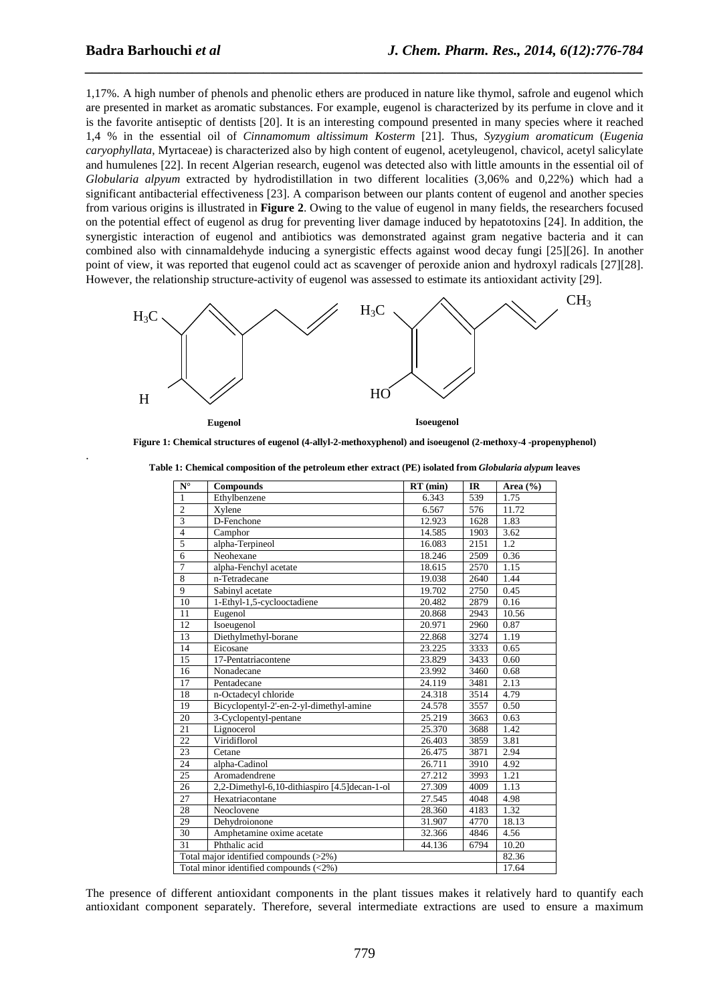.

1,17%. A high number of phenols and phenolic ethers are produced in nature like thymol, safrole and eugenol which are presented in market as aromatic substances. For example, eugenol is characterized by its perfume in clove and it is the favorite antiseptic of dentists [20]. It is an interesting compound presented in many species where it reached 1,4 % in the essential oil of *Cinnamomum altissimum Kosterm* [21]. Thus, *Syzygium aromaticum* (*Eugenia caryophyllata*, Myrtaceae) is characterized also by high content of eugenol, acetyleugenol, chavicol, acetyl salicylate and humulenes [22]. In recent Algerian research, eugenol was detected also with little amounts in the essential oil of *Globularia alpyum* extracted by hydrodistillation in two different localities (3,06% and 0,22%) which had a significant antibacterial effectiveness [23]. A comparison between our plants content of eugenol and another species from various origins is illustrated in **Figure 2**. Owing to the value of eugenol in many fields, the researchers focused on the potential effect of eugenol as drug for preventing liver damage induced by hepatotoxins [24]. In addition, the synergistic interaction of eugenol and antibiotics was demonstrated against gram negative bacteria and it can combined also with cinnamaldehyde inducing a synergistic effects against wood decay fungi [25][26]. In another point of view, it was reported that eugenol could act as scavenger of peroxide anion and hydroxyl radicals [27][28]. However, the relationship structure-activity of eugenol was assessed to estimate its antioxidant activity [29].

*\_\_\_\_\_\_\_\_\_\_\_\_\_\_\_\_\_\_\_\_\_\_\_\_\_\_\_\_\_\_\_\_\_\_\_\_\_\_\_\_\_\_\_\_\_\_\_\_\_\_\_\_\_\_\_\_\_\_\_\_\_\_\_\_\_\_\_\_\_\_\_\_\_\_\_\_\_\_*



**Figure 1: Chemical structures of eugenol (4-allyl-2-methoxyphenol) and isoeugenol (2-methoxy-4 -propenyphenol)** 

| $N^{\circ}$                               | <b>Compounds</b>                               | $RT$ (min) | IR   | Area $(\% )$ |  |
|-------------------------------------------|------------------------------------------------|------------|------|--------------|--|
| $\mathbf{1}$                              | Ethylbenzene                                   | 6.343      | 539  | 1.75         |  |
| $\overline{2}$                            | Xylene                                         | 6.567      | 576  | 11.72        |  |
| $\overline{3}$                            | D-Fenchone                                     | 12.923     | 1628 | 1.83         |  |
| $\overline{4}$                            | Camphor                                        | 14.585     | 1903 | 3.62         |  |
| 5                                         | alpha-Terpineol                                | 16.083     | 2151 | 1.2          |  |
| $\overline{6}$                            | Neohexane                                      | 18.246     | 2509 | 0.36         |  |
| $\overline{7}$                            | alpha-Fenchyl acetate                          | 18.615     | 2570 | 1.15         |  |
| $\overline{8}$                            | n-Tetradecane                                  | 19.038     | 2640 | 1.44         |  |
| $\overline{9}$                            | Sabinyl acetate                                | 19.702     | 2750 | 0.45         |  |
| 10                                        | 1-Ethyl-1,5-cyclooctadiene                     | 20.482     | 2879 | 0.16         |  |
| 11                                        | Eugenol                                        | 20.868     | 2943 | 10.56        |  |
| 12                                        | Isoeugenol                                     | 20.971     | 2960 | 0.87         |  |
| 13                                        | Diethylmethyl-borane                           | 22.868     | 3274 | 1.19         |  |
| 14                                        | Eicosane                                       | 23.225     | 3333 | 0.65         |  |
| 15                                        | 17-Pentatriacontene                            | 23.829     | 3433 | 0.60         |  |
| 16                                        | Nonadecane                                     | 23.992     | 3460 | 0.68         |  |
| 17                                        | Pentadecane                                    | 24.119     | 3481 | 2.13         |  |
| 18                                        | n-Octadecyl chloride                           | 24.318     | 3514 | 4.79         |  |
| 19                                        | Bicyclopentyl-2'-en-2-yl-dimethyl-amine        | 24.578     | 3557 | 0.50         |  |
| 20                                        | 3-Cyclopentyl-pentane                          | 25.219     | 3663 | 0.63         |  |
| 21                                        | Lignocerol                                     | 25.370     | 3688 | 1.42         |  |
| 22                                        | Viridiflorol                                   | 26.403     | 3859 | 3.81         |  |
| $\overline{23}$                           | Cetane                                         | 26.475     | 3871 | 2.94         |  |
| 24                                        | alpha-Cadinol                                  | 26.711     | 3910 | 4.92         |  |
| 25                                        | Aromadendrene                                  | 27.212     | 3993 | 1.21         |  |
| 26                                        | 2,2-Dimethyl-6,10-dithiaspiro [4.5] decan-1-ol | 27.309     | 4009 | 1.13         |  |
| 27                                        | Hexatriacontane                                | 27.545     | 4048 | 4.98         |  |
| 28                                        | Neoclovene                                     | 28.360     | 4183 | 1.32         |  |
| 29                                        | Dehydroionone                                  | 31.907     | 4770 | 18.13        |  |
| 30                                        | Amphetamine oxime acetate                      | 32.366     | 4846 | 4.56         |  |
| 31                                        | Phthalic acid                                  | 44.136     | 6794 | 10.20        |  |
| Total major identified compounds (>2%)    |                                                |            |      |              |  |
| Total minor identified compounds $(<2\%)$ |                                                |            |      |              |  |

**Table 1: Chemical composition of the petroleum ether extract (PE) isolated from** *Globularia alypum* **leaves** 

The presence of different antioxidant components in the plant tissues makes it relatively hard to quantify each antioxidant component separately. Therefore, several intermediate extractions are used to ensure a maximum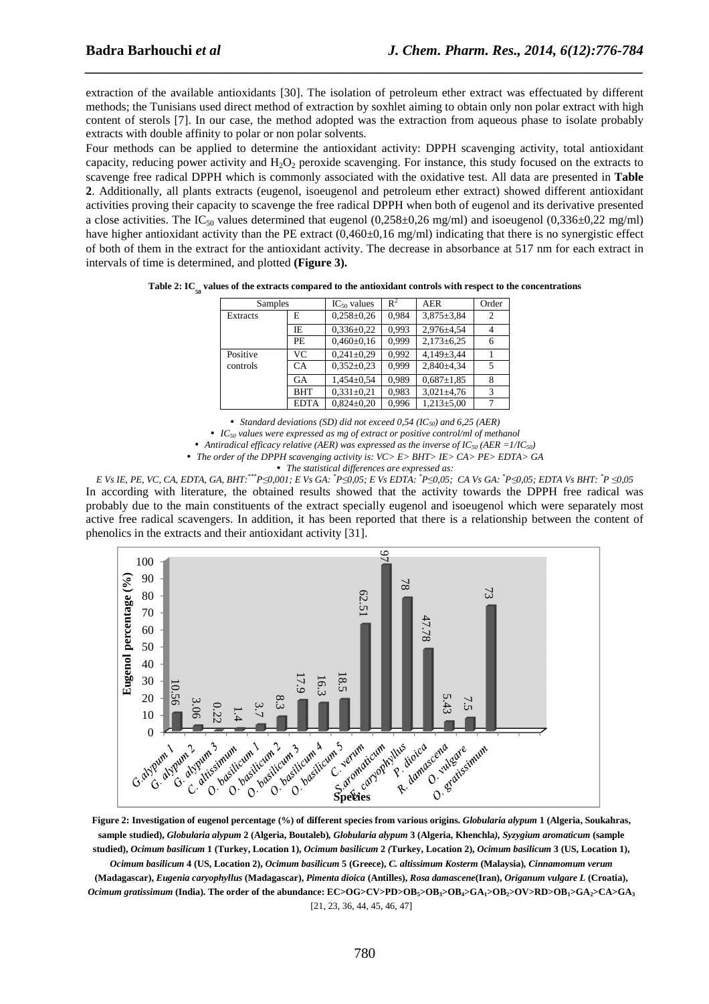extraction of the available antioxidants [30]. The isolation of petroleum ether extract was effectuated by different methods; the Tunisians used direct method of extraction by soxhlet aiming to obtain only non polar extract with high content of sterols [7]. In our case, the method adopted was the extraction from aqueous phase to isolate probably extracts with double affinity to polar or non polar solvents.

*\_\_\_\_\_\_\_\_\_\_\_\_\_\_\_\_\_\_\_\_\_\_\_\_\_\_\_\_\_\_\_\_\_\_\_\_\_\_\_\_\_\_\_\_\_\_\_\_\_\_\_\_\_\_\_\_\_\_\_\_\_\_\_\_\_\_\_\_\_\_\_\_\_\_\_\_\_\_*

Four methods can be applied to determine the antioxidant activity: DPPH scavenging activity, total antioxidant capacity, reducing power activity and  $H_2O_2$  peroxide scavenging. For instance, this study focused on the extracts to scavenge free radical DPPH which is commonly associated with the oxidative test. All data are presented in **Table 2**. Additionally, all plants extracts (eugenol, isoeugenol and petroleum ether extract) showed different antioxidant activities proving their capacity to scavenge the free radical DPPH when both of eugenol and its derivative presented a close activities. The IC<sub>50</sub> values determined that eugenol  $(0,258\pm0.26$  mg/ml) and isoeugenol  $(0,336\pm0.22$  mg/ml) have higher antioxidant activity than the PE extract  $(0.460\pm0.16 \text{ mg/ml})$  indicating that there is no synergistic effect of both of them in the extract for the antioxidant activity. The decrease in absorbance at 517 nm for each extract in intervals of time is determined, and plotted **(Figure 3).** 

| Samples  |             | $IC_{50}$ values | $R^2$ | <b>AER</b>       | Order |
|----------|-------------|------------------|-------|------------------|-------|
| Extracts | E           | $0,258 \pm 0.26$ | 0.984 | $3,875 \pm 3,84$ | 2     |
|          | ΙE          | $0,336 \pm 0,22$ | 0.993 | $2.976 \pm 4.54$ | 4     |
|          | <b>PE</b>   | $0,460\pm0,16$   | 0,999 | $2,173\pm6,25$   |       |
| Positive | VC.         | $0.241 \pm 0.29$ | 0.992 | $4.149 \pm 3.44$ |       |
| controls | <b>CA</b>   | $0.352 \pm 0.23$ | 0.999 | $2,840 \pm 4,34$ |       |
|          | <b>GA</b>   | $1.454 \pm 0.54$ | 0.989 | $0.687 \pm 1.85$ | 8     |
|          | <b>BHT</b>  | $0,331\pm0.21$   | 0,983 | $3,021 \pm 4,76$ | 3     |
|          | <b>EDTA</b> | $0.824 \pm 0.20$ | 0.996 | $1.213 \pm 5.00$ |       |

**Table 2: IC<sup>50</sup> values of the extracts compared to the antioxidant controls with respect to the concentrations** 

• *Standard deviations (SD) did not exceed 0,54 (IC50) and 6,25 (AER)* 

• *IC50 values were expressed as mg of extract or positive control/ml of methanol* 

• Antiradical efficacy relative (AER) was expressed as the inverse of  $IC_{50}$  (AER =1/IC<sub>50</sub>)

• *The order of the DPPH scavenging activity is: VC> E> BHT> IE> CA> PE> EDTA> GA* 

• *The statistical differences are expressed as:* 

E Vs IE, PE, VC, CA, EDTA, GA, BHT:\*\*\*P $\leq 0.001$ ; E Vs GA: \*P $\leq 0.05$ ; E Vs EDTA: \*P $\leq 0.05$ ; CA Vs GA: \*P $\leq 0.05$ ; EDTA Vs BHT: \*P $\leq 0.05$ In according with literature, the obtained results showed that the activity towards the DPPH free radical was probably due to the main constituents of the extract specially eugenol and isoeugenol which were separately most active free radical scavengers. In addition, it has been reported that there is a relationship between the content of phenolics in the extracts and their antioxidant activity [31].



**Figure 2: Investigation of eugenol percentage (%) of different species from various origins.** *Globularia alypum* **1 (Algeria, Soukahras, sample studied),** *Globularia alypum* **2 (Algeria, Boutaleb)***, Globularia alypum* **3 (Algeria, Khenchla***), Syzygium aromaticum* **(sample studied),** *Ocimum basilicum* **1 (Turkey, Location 1),** *Ocimum basilicum* **2** *(***Turkey, Location 2),** *Ocimum basilicum* **3 (US, Location 1),**  *Ocimum basilicum* **4 (US, Location 2),** *Ocimum basilicum* **5 (Greece),** *C. altissimum Kosterm* **(Malaysia)***, Cinnamomum verum*  **(Madagascar),** *Eugenia caryophyllus* **(Madagascar),** *Pimenta dioica* **(Antilles),** *Rosa damascene***(Iran),** *Origanum vulgare L* **(Croatia),**  Ocimum gratissimum (India). The order of the abundance: EC>OG>CV>PD>OB<sub>3</sub>>OB<sub>3</sub>>OB<sub>4</sub>>GA<sub>1</sub>>OB<sub>2</sub>>OV>RD>OB<sub>1</sub>>GA<sub>2</sub>>CA>GA<sub>3</sub> [21, 23, 36, 44, 45, 46, 47]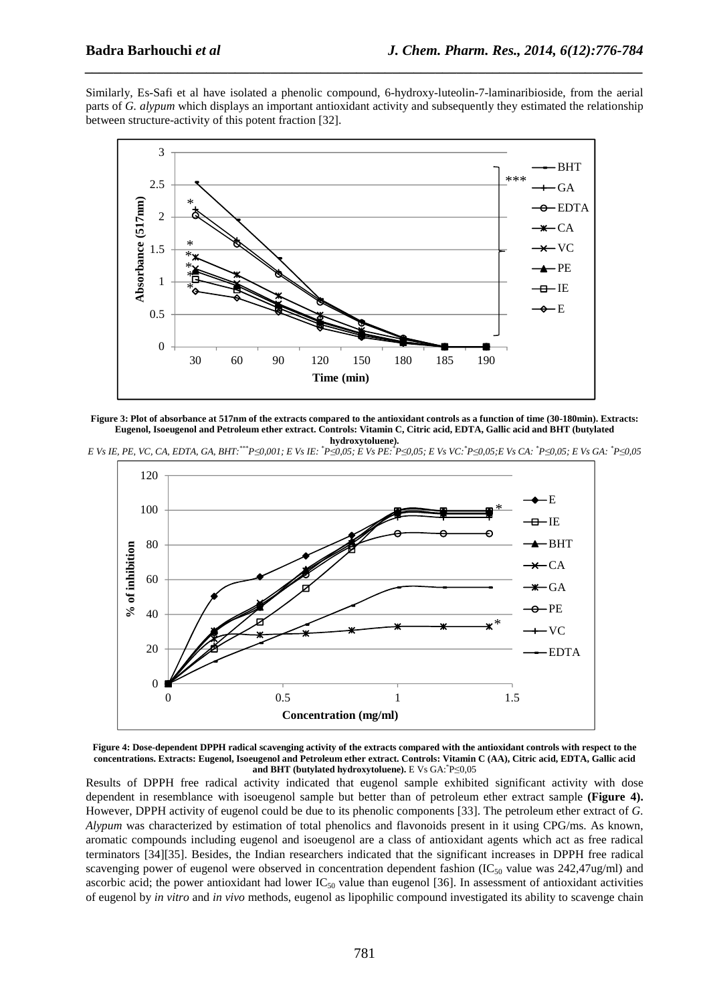Similarly, Es-Safi et al have isolated a phenolic compound, 6-hydroxy-luteolin-7-laminaribioside, from the aerial parts of *G. alypum* which displays an important antioxidant activity and subsequently they estimated the relationship between structure-activity of this potent fraction [32].

*\_\_\_\_\_\_\_\_\_\_\_\_\_\_\_\_\_\_\_\_\_\_\_\_\_\_\_\_\_\_\_\_\_\_\_\_\_\_\_\_\_\_\_\_\_\_\_\_\_\_\_\_\_\_\_\_\_\_\_\_\_\_\_\_\_\_\_\_\_\_\_\_\_\_\_\_\_\_*



**Figure 3: Plot of absorbance at 517nm of the extracts compared to the antioxidant controls as a function of time (30-180min). Extracts: Eugenol, Isoeugenol and Petroleum ether extract. Controls: Vitamin C, Citric acid, EDTA, Gallic acid and BHT (butylated hydroxytoluene).** 

E Vs IE, PE, VC, CA, EDTA, GA, BHT:\*\*P $\leq 0.001$ ; E Vs IE:\*P $\leq 0.05$ ; E Vs PE:\*P $\leq 0.05$ ; E Vs VC:\*P $\leq 0.05$ ; E Vs CA:\*P $\leq 0.05$ ; E Vs CA:\*P $\leq 0.05$ ; E Vs CA:\*P $\leq 0.05$ ; E Vs CA:\*P $\leq 0.05$ ; E Vs CA:\*P $\leq 0$ 



**Figure 4: Dose-dependent DPPH radical scavenging activity of the extracts compared with the antioxidant controls with respect to the concentrations. Extracts: Eugenol, Isoeugenol and Petroleum ether extract. Controls: Vitamin C (AA), Citric acid, EDTA, Gallic acid and BHT (butylated hydroxytoluene).** E Vs GA:\* P≤0,05

Results of DPPH free radical activity indicated that eugenol sample exhibited significant activity with dose dependent in resemblance with isoeugenol sample but better than of petroleum ether extract sample **(Figure 4).**  However, DPPH activity of eugenol could be due to its phenolic components [33]. The petroleum ether extract of *G. Alypum* was characterized by estimation of total phenolics and flavonoids present in it using CPG/ms. As known, aromatic compounds including eugenol and isoeugenol are a class of antioxidant agents which act as free radical terminators [34][35]. Besides, the Indian researchers indicated that the significant increases in DPPH free radical scavenging power of eugenol were observed in concentration dependent fashion  $(IC_{50}$  value was 242,47ug/ml) and ascorbic acid; the power antioxidant had lower  $IC_{50}$  value than eugenol [36]. In assessment of antioxidant activities of eugenol by *in vitro* and *in vivo* methods, eugenol as lipophilic compound investigated its ability to scavenge chain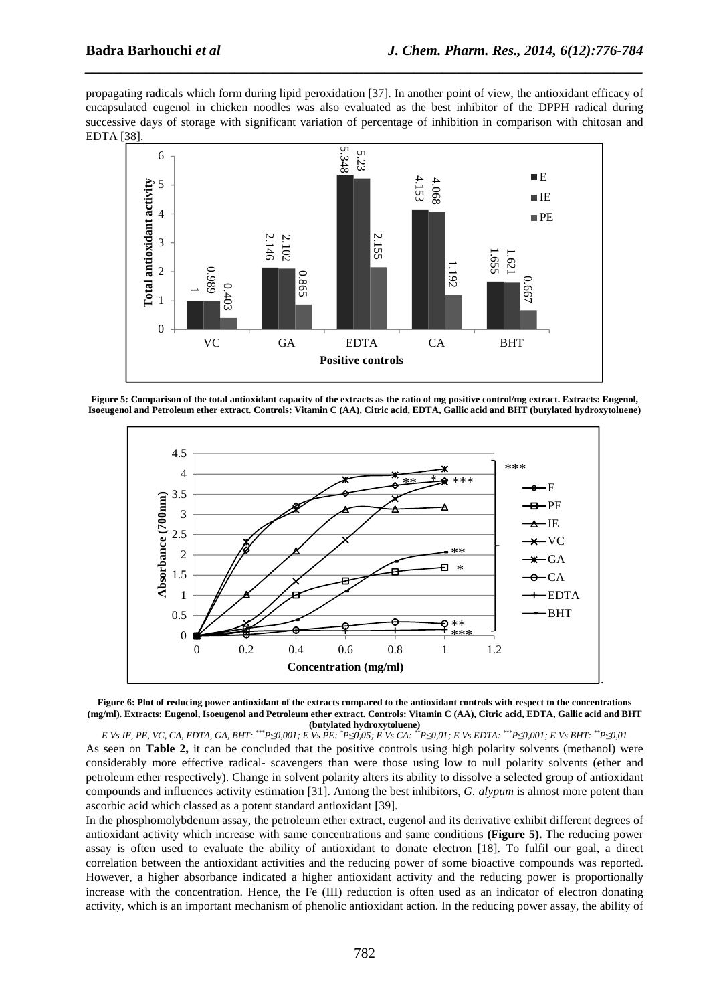propagating radicals which form during lipid peroxidation [37]. In another point of view, the antioxidant efficacy of encapsulated eugenol in chicken noodles was also evaluated as the best inhibitor of the DPPH radical during successive days of storage with significant variation of percentage of inhibition in comparison with chitosan and EDTA [38].

*\_\_\_\_\_\_\_\_\_\_\_\_\_\_\_\_\_\_\_\_\_\_\_\_\_\_\_\_\_\_\_\_\_\_\_\_\_\_\_\_\_\_\_\_\_\_\_\_\_\_\_\_\_\_\_\_\_\_\_\_\_\_\_\_\_\_\_\_\_\_\_\_\_\_\_\_\_\_*



**Figure 5: Comparison of the total antioxidant capacity of the extracts as the ratio of mg positive control/mg extract. Extracts: Eugenol, Isoeugenol and Petroleum ether extract. Controls: Vitamin C (AA), Citric acid, EDTA, Gallic acid and BHT (butylated hydroxytoluene)** 





E Vs IE, PE, VC, CA, EDTA, GA, BHT: \*\*\*P $\leq 0.001$ ; E Vs PE: \*P $\leq 0.05$ ; E Vs CA: \*\*P $\leq 0.01$ ; E Vs EDTA: \*\*\*P $\leq 0.001$ ; E Vs BHT: \*\*P $\leq 0.01$ As seen on **Table 2,** it can be concluded that the positive controls using high polarity solvents (methanol) were considerably more effective radical- scavengers than were those using low to null polarity solvents (ether and petroleum ether respectively). Change in solvent polarity alters its ability to dissolve a selected group of antioxidant compounds and influences activity estimation [31]. Among the best inhibitors, *G. alypum* is almost more potent than ascorbic acid which classed as a potent standard antioxidant [39].

In the phosphomolybdenum assay, the petroleum ether extract, eugenol and its derivative exhibit different degrees of antioxidant activity which increase with same concentrations and same conditions **(Figure 5).** The reducing power assay is often used to evaluate the ability of antioxidant to donate electron [18]. To fulfil our goal, a direct correlation between the antioxidant activities and the reducing power of some bioactive compounds was reported. However, a higher absorbance indicated a higher antioxidant activity and the reducing power is proportionally increase with the concentration. Hence, the Fe (III) reduction is often used as an indicator of electron donating activity, which is an important mechanism of phenolic antioxidant action. In the reducing power assay, the ability of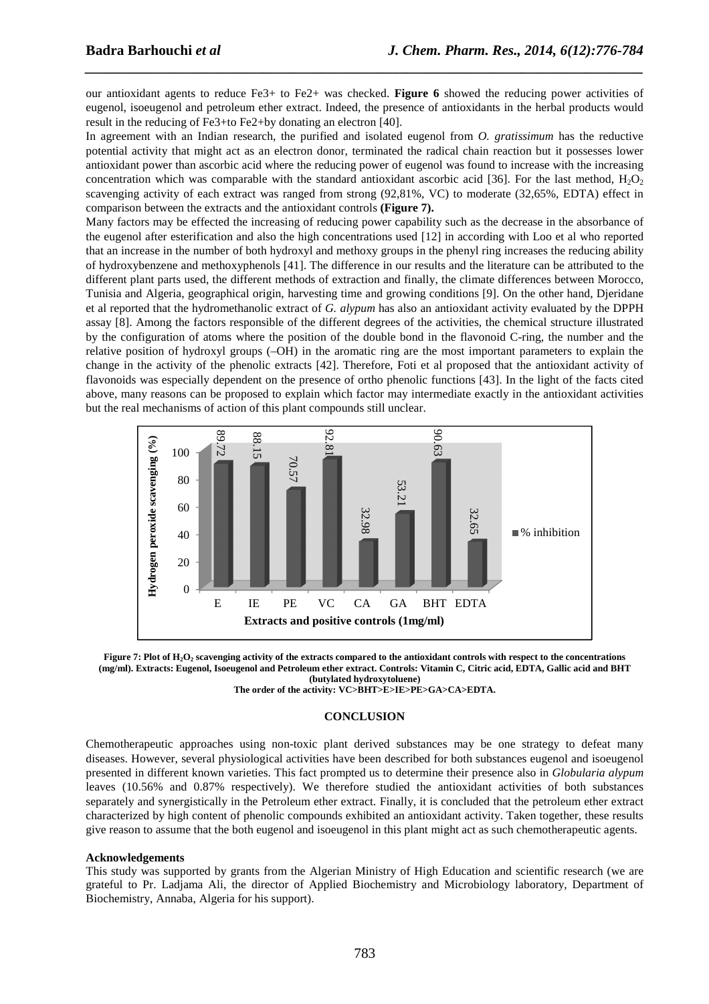our antioxidant agents to reduce Fe3+ to Fe2+ was checked. **Figure 6** showed the reducing power activities of eugenol, isoeugenol and petroleum ether extract. Indeed, the presence of antioxidants in the herbal products would result in the reducing of Fe3+to Fe2+by donating an electron [40].

*\_\_\_\_\_\_\_\_\_\_\_\_\_\_\_\_\_\_\_\_\_\_\_\_\_\_\_\_\_\_\_\_\_\_\_\_\_\_\_\_\_\_\_\_\_\_\_\_\_\_\_\_\_\_\_\_\_\_\_\_\_\_\_\_\_\_\_\_\_\_\_\_\_\_\_\_\_\_*

In agreement with an Indian research, the purified and isolated eugenol from *O. gratissimum* has the reductive potential activity that might act as an electron donor, terminated the radical chain reaction but it possesses lower antioxidant power than ascorbic acid where the reducing power of eugenol was found to increase with the increasing concentration which was comparable with the standard antioxidant ascorbic acid [36]. For the last method,  $H_2O_2$ scavenging activity of each extract was ranged from strong (92,81%, VC) to moderate (32,65%, EDTA) effect in comparison between the extracts and the antioxidant controls **(Figure 7).**

Many factors may be effected the increasing of reducing power capability such as the decrease in the absorbance of the eugenol after esterification and also the high concentrations used [12] in according with Loo et al who reported that an increase in the number of both hydroxyl and methoxy groups in the phenyl ring increases the reducing ability of hydroxybenzene and methoxyphenols [41]. The difference in our results and the literature can be attributed to the different plant parts used, the different methods of extraction and finally, the climate differences between Morocco, Tunisia and Algeria, geographical origin, harvesting time and growing conditions [9]. On the other hand, Djeridane et al reported that the hydromethanolic extract of *G. alypum* has also an antioxidant activity evaluated by the DPPH assay [8]. Among the factors responsible of the different degrees of the activities, the chemical structure illustrated by the configuration of atoms where the position of the double bond in the flavonoid C-ring, the number and the relative position of hydroxyl groups (–OH) in the aromatic ring are the most important parameters to explain the change in the activity of the phenolic extracts [42]. Therefore, Foti et al proposed that the antioxidant activity of flavonoids was especially dependent on the presence of ortho phenolic functions [43]. In the light of the facts cited above, many reasons can be proposed to explain which factor may intermediate exactly in the antioxidant activities but the real mechanisms of action of this plant compounds still unclear.





**The order of the activity: VC>BHT>E>IE>PE>GA>CA>EDTA.** 

#### **CONCLUSION**

Chemotherapeutic approaches using non-toxic plant derived substances may be one strategy to defeat many diseases. However, several physiological activities have been described for both substances eugenol and isoeugenol presented in different known varieties. This fact prompted us to determine their presence also in *Globularia alypum* leaves (10.56% and 0.87% respectively). We therefore studied the antioxidant activities of both substances separately and synergistically in the Petroleum ether extract. Finally, it is concluded that the petroleum ether extract characterized by high content of phenolic compounds exhibited an antioxidant activity. Taken together, these results give reason to assume that the both eugenol and isoeugenol in this plant might act as such chemotherapeutic agents.

#### **Acknowledgements**

This study was supported by grants from the Algerian Ministry of High Education and scientific research (we are grateful to Pr. Ladjama Ali, the director of Applied Biochemistry and Microbiology laboratory, Department of Biochemistry, Annaba, Algeria for his support).